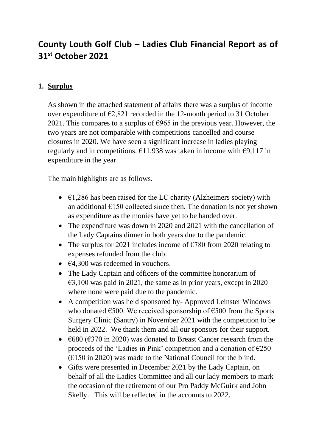## **County Louth Golf Club – Ladies Club Financial Report as of 31st October 2021**

## **1. Surplus**

As shown in the attached statement of affairs there was a surplus of income over expenditure of  $\epsilon$ 2,821 recorded in the 12-month period to 31 October 2021. This compares to a surplus of  $\epsilon$ 965 in the previous year. However, the two years are not comparable with competitions cancelled and course closures in 2020. We have seen a significant increase in ladies playing regularly and in competitions.  $\epsilon$ 11,938 was taken in income with  $\epsilon$ 9,117 in expenditure in the year.

The main highlights are as follows.

- $\epsilon$ 1,286 has been raised for the LC charity (Alzheimers society) with an additional  $E150$  collected since then. The donation is not yet shown as expenditure as the monies have yet to be handed over.
- The expenditure was down in 2020 and 2021 with the cancellation of the Lady Captains dinner in both years due to the pandemic.
- The surplus for 2021 includes income of  $\epsilon$ 780 from 2020 relating to expenses refunded from the club.
- $\epsilon$ 4,300 was redeemed in vouchers.
- The Lady Captain and officers of the committee honorarium of  $\epsilon$ 3,100 was paid in 2021, the same as in prior years, except in 2020 where none were paid due to the pandemic.
- A competition was held sponsored by- Approved Leinster Windows who donated  $\epsilon$ 500. We received sponsorship of  $\epsilon$ 500 from the Sports Surgery Clinic (Santry) in November 2021 with the competition to be held in 2022. We thank them and all our sponsors for their support.
- $\epsilon$ 680 ( $\epsilon$ 370 in 2020) was donated to Breast Cancer research from the proceeds of the 'Ladies in Pink' competition and a donation of  $E$ 250  $(F150)$  in 2020) was made to the National Council for the blind.
- Gifts were presented in December 2021 by the Lady Captain, on behalf of all the Ladies Committee and all our lady members to mark the occasion of the retirement of our Pro Paddy McGuirk and John Skelly. This will be reflected in the accounts to 2022.